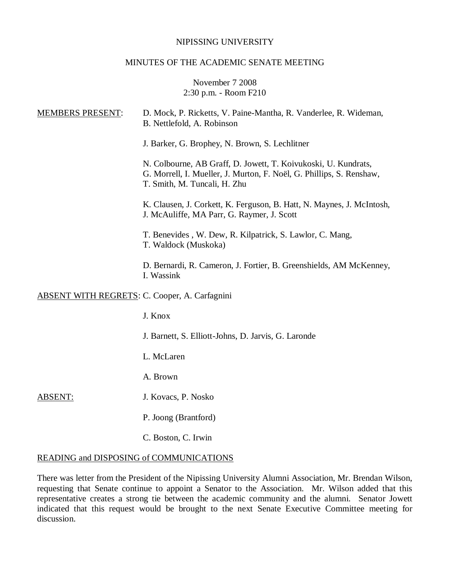### NIPISSING UNIVERSITY

### MINUTES OF THE ACADEMIC SENATE MEETING

## November 7 2008 2:30 p.m. - Room F210

| <b>MEMBERS PRESENT:</b>                              | D. Mock, P. Ricketts, V. Paine-Mantha, R. Vanderlee, R. Wideman,<br>B. Nettlefold, A. Robinson                                                                         |
|------------------------------------------------------|------------------------------------------------------------------------------------------------------------------------------------------------------------------------|
|                                                      | J. Barker, G. Brophey, N. Brown, S. Lechlitner                                                                                                                         |
|                                                      | N. Colbourne, AB Graff, D. Jowett, T. Koivukoski, U. Kundrats,<br>G. Morrell, I. Mueller, J. Murton, F. Noël, G. Phillips, S. Renshaw,<br>T. Smith, M. Tuncali, H. Zhu |
|                                                      | K. Clausen, J. Corkett, K. Ferguson, B. Hatt, N. Maynes, J. McIntosh,<br>J. McAuliffe, MA Parr, G. Raymer, J. Scott                                                    |
|                                                      | T. Benevides, W. Dew, R. Kilpatrick, S. Lawlor, C. Mang,<br>T. Waldock (Muskoka)                                                                                       |
|                                                      | D. Bernardi, R. Cameron, J. Fortier, B. Greenshields, AM McKenney,<br>I. Wassink                                                                                       |
| <b>ABSENT WITH REGRETS: C. Cooper, A. Carfagnini</b> |                                                                                                                                                                        |
|                                                      | J. Knox                                                                                                                                                                |
|                                                      | J. Barnett, S. Elliott-Johns, D. Jarvis, G. Laronde                                                                                                                    |
|                                                      | L. McLaren                                                                                                                                                             |
|                                                      | A. Brown                                                                                                                                                               |
| <b>ABSENT:</b>                                       | J. Kovacs, P. Nosko                                                                                                                                                    |

- P. Joong (Brantford)
- C. Boston, C. Irwin

### READING and DISPOSING of COMMUNICATIONS

There was letter from the President of the Nipissing University Alumni Association, Mr. Brendan Wilson, requesting that Senate continue to appoint a Senator to the Association. Mr. Wilson added that this representative creates a strong tie between the academic community and the alumni. Senator Jowett indicated that this request would be brought to the next Senate Executive Committee meeting for discussion.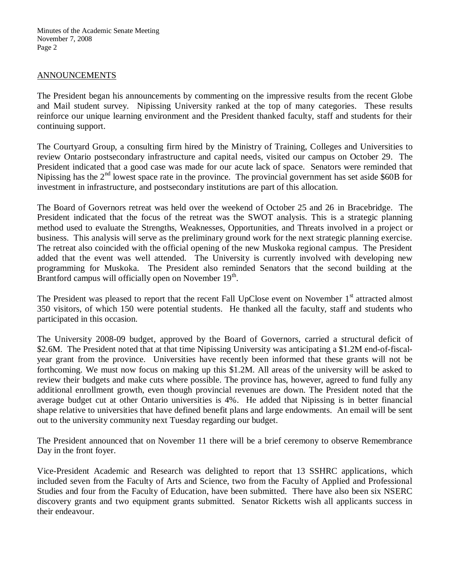Minutes of the Academic Senate Meeting November 7, 2008 Page 2

### ANNOUNCEMENTS

The President began his announcements by commenting on the impressive results from the recent Globe and Mail student survey. Nipissing University ranked at the top of many categories. These results reinforce our unique learning environment and the President thanked faculty, staff and students for their continuing support.

The Courtyard Group, a consulting firm hired by the Ministry of Training, Colleges and Universities to review Ontario postsecondary infrastructure and capital needs, visited our campus on October 29. The President indicated that a good case was made for our acute lack of space. Senators were reminded that Nipissing has the  $2<sup>nd</sup>$  lowest space rate in the province. The provincial government has set aside \$60B for investment in infrastructure, and postsecondary institutions are part of this allocation.

The Board of Governors retreat was held over the weekend of October 25 and 26 in Bracebridge. The President indicated that the focus of the retreat was the SWOT analysis. This is a strategic planning method used to evaluate the Strengths, Weaknesses, Opportunities, and Threats involved in a project or business. This analysis will serve as the preliminary ground work for the next strategic planning exercise. The retreat also coincided with the official opening of the new Muskoka regional campus. The President added that the event was well attended. The University is currently involved with developing new programming for Muskoka. The President also reminded Senators that the second building at the Brantford campus will officially open on November 19<sup>th</sup>.

The President was pleased to report that the recent Fall UpClose event on November 1<sup>st</sup> attracted almost 350 visitors, of which 150 were potential students. He thanked all the faculty, staff and students who participated in this occasion.

The University 2008-09 budget, approved by the Board of Governors, carried a structural deficit of \$2.6M. The President noted that at that time Nipissing University was anticipating a \$1.2M end-of-fiscalyear grant from the province. Universities have recently been informed that these grants will not be forthcoming. We must now focus on making up this \$1.2M. All areas of the university will be asked to review their budgets and make cuts where possible. The province has, however, agreed to fund fully any additional enrollment growth, even though provincial revenues are down. The President noted that the average budget cut at other Ontario universities is 4%. He added that Nipissing is in better financial shape relative to universities that have defined benefit plans and large endowments. An email will be sent out to the university community next Tuesday regarding our budget.

The President announced that on November 11 there will be a brief ceremony to observe Remembrance Day in the front foyer.

Vice-President Academic and Research was delighted to report that 13 SSHRC applications, which included seven from the Faculty of Arts and Science, two from the Faculty of Applied and Professional Studies and four from the Faculty of Education, have been submitted. There have also been six NSERC discovery grants and two equipment grants submitted. Senator Ricketts wish all applicants success in their endeavour.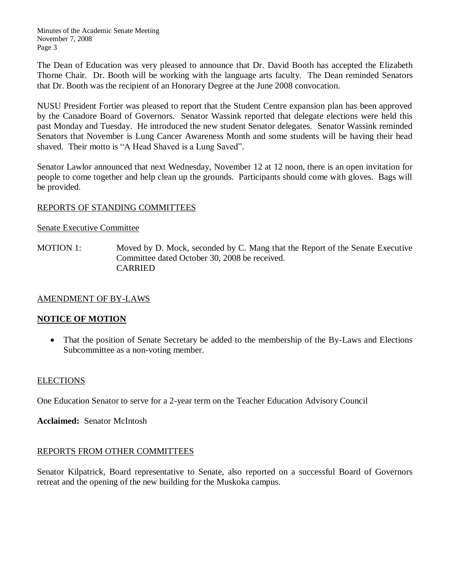The Dean of Education was very pleased to announce that Dr. David Booth has accepted the Elizabeth Thorne Chair. Dr. Booth will be working with the language arts faculty. The Dean reminded Senators that Dr. Booth was the recipient of an Honorary Degree at the June 2008 convocation.

NUSU President Fortier was pleased to report that the Student Centre expansion plan has been approved by the Canadore Board of Governors. Senator Wassink reported that delegate elections were held this past Monday and Tuesday. He introduced the new student Senator delegates. Senator Wassink reminded Senators that November is Lung Cancer Awareness Month and some students will be having their head shaved. Their motto is "A Head Shaved is a Lung Saved".

Senator Lawlor announced that next Wednesday, November 12 at 12 noon, there is an open invitation for people to come together and help clean up the grounds. Participants should come with gloves. Bags will be provided.

## REPORTS OF STANDING COMMITTEES

### Senate Executive Committee

MOTION 1: Moved by D. Mock, seconded by C. Mang that the Report of the Senate Executive Committee dated October 30, 2008 be received. CARRIED

# AMENDMENT OF BY-LAWS

# **NOTICE OF MOTION**

• That the position of Senate Secretary be added to the membership of the By-Laws and Elections Subcommittee as a non-voting member.

### **ELECTIONS**

One Education Senator to serve for a 2-year term on the Teacher Education Advisory Council

**Acclaimed:** Senator McIntosh

# REPORTS FROM OTHER COMMITTEES

Senator Kilpatrick, Board representative to Senate, also reported on a successful Board of Governors retreat and the opening of the new building for the Muskoka campus.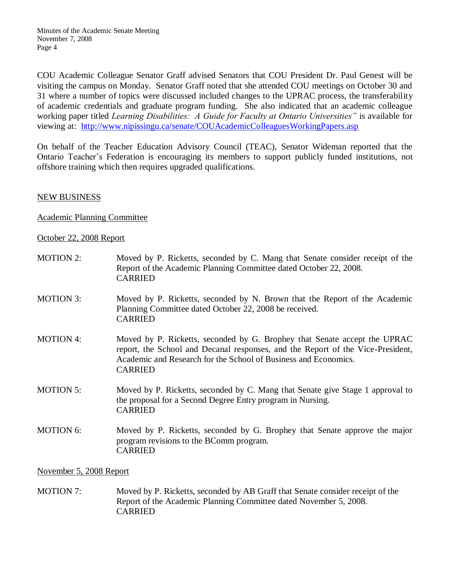COU Academic Colleague Senator Graff advised Senators that COU President Dr. Paul Genest will be visiting the campus on Monday. Senator Graff noted that she attended COU meetings on October 30 and 31 where a number of topics were discussed included changes to the UPRAC process, the transferability of academic credentials and graduate program funding. She also indicated that an academic colleague working paper titled *Learning Disabilities: A Guide for Faculty at Ontario Universities"* is available for viewing at: <http://www.nipissingu.ca/senate/COUAcademicColleaguesWorkingPapers.asp>

On behalf of the Teacher Education Advisory Council (TEAC), Senator Wideman reported that the Ontario Teacher's Federation is encouraging its members to support publicly funded institutions, not offshore training which then requires upgraded qualifications.

## NEW BUSINESS

## Academic Planning Committee

## October 22, 2008 Report

| <b>MOTION 2:</b> | Moved by P. Ricketts, seconded by C. Mang that Senate consider receipt of the<br>Report of the Academic Planning Committee dated October 22, 2008.<br><b>CARRIED</b>                                                                              |  |
|------------------|---------------------------------------------------------------------------------------------------------------------------------------------------------------------------------------------------------------------------------------------------|--|
| <b>MOTION 3:</b> | Moved by P. Ricketts, seconded by N. Brown that the Report of the Academic<br>Planning Committee dated October 22, 2008 be received.<br><b>CARRIED</b>                                                                                            |  |
| <b>MOTION 4:</b> | Moved by P. Ricketts, seconded by G. Brophey that Senate accept the UPRAC<br>report, the School and Decanal responses, and the Report of the Vice-President,<br>Academic and Research for the School of Business and Economics.<br><b>CARRIED</b> |  |
| <b>MOTION 5:</b> | Moved by P. Ricketts, seconded by C. Mang that Senate give Stage 1 approval to<br>the proposal for a Second Degree Entry program in Nursing.<br><b>CARRIED</b>                                                                                    |  |
| <b>MOTION 6:</b> | Moved by P. Ricketts, seconded by G. Brophey that Senate approve the major<br>program revisions to the BComm program.<br><b>CARRIED</b>                                                                                                           |  |
|                  |                                                                                                                                                                                                                                                   |  |

November 5, 2008 Report

MOTION 7: Moved by P. Ricketts, seconded by AB Graff that Senate consider receipt of the Report of the Academic Planning Committee dated November 5, 2008. CARRIED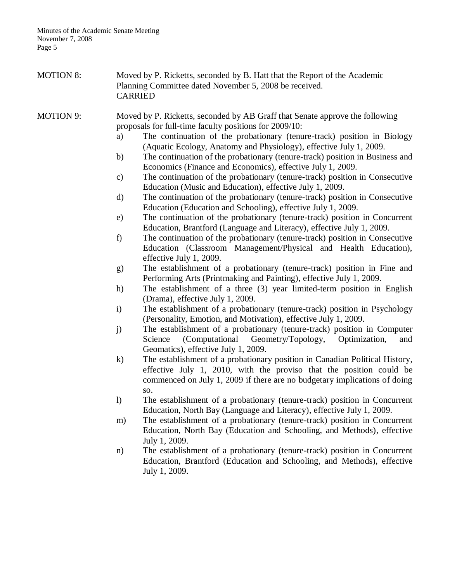| <b>MOTION 8:</b> | Moved by P. Ricketts, seconded by B. Hatt that the Report of the Academic<br>Planning Committee dated November 5, 2008 be received.<br><b>CARRIED</b> |                                                                                                                                                                                                                                        |
|------------------|-------------------------------------------------------------------------------------------------------------------------------------------------------|----------------------------------------------------------------------------------------------------------------------------------------------------------------------------------------------------------------------------------------|
| <b>MOTION 9:</b> |                                                                                                                                                       | Moved by P. Ricketts, seconded by AB Graff that Senate approve the following<br>proposals for full-time faculty positions for 2009/10:                                                                                                 |
|                  | a)                                                                                                                                                    | The continuation of the probationary (tenure-track) position in Biology<br>(Aquatic Ecology, Anatomy and Physiology), effective July 1, 2009.                                                                                          |
|                  | b)                                                                                                                                                    | The continuation of the probationary (tenure-track) position in Business and<br>Economics (Finance and Economics), effective July 1, 2009.                                                                                             |
|                  | c)                                                                                                                                                    | The continuation of the probationary (tenure-track) position in Consecutive<br>Education (Music and Education), effective July 1, 2009.                                                                                                |
|                  | d)                                                                                                                                                    | The continuation of the probationary (tenure-track) position in Consecutive<br>Education (Education and Schooling), effective July 1, 2009.                                                                                            |
|                  | e)                                                                                                                                                    | The continuation of the probationary (tenure-track) position in Concurrent<br>Education, Brantford (Language and Literacy), effective July 1, 2009.                                                                                    |
|                  | f)                                                                                                                                                    | The continuation of the probationary (tenure-track) position in Consecutive<br>Education (Classroom Management/Physical and Health Education),<br>effective July 1, 2009.                                                              |
|                  | g)                                                                                                                                                    | The establishment of a probationary (tenure-track) position in Fine and<br>Performing Arts (Printmaking and Painting), effective July 1, 2009.                                                                                         |
|                  | h)                                                                                                                                                    | The establishment of a three (3) year limited-term position in English<br>(Drama), effective July 1, 2009.                                                                                                                             |
|                  | $\mathbf{i}$                                                                                                                                          | The establishment of a probationary (tenure-track) position in Psychology<br>(Personality, Emotion, and Motivation), effective July 1, 2009.                                                                                           |
|                  | j)                                                                                                                                                    | The establishment of a probationary (tenure-track) position in Computer<br>(Computational<br>Geometry/Topology,<br>Optimization,<br>Science<br>and<br>Geomatics), effective July 1, 2009.                                              |
|                  | $\mathbf{k}$                                                                                                                                          | The establishment of a probationary position in Canadian Political History,<br>effective July 1, 2010, with the proviso that the position could be<br>commenced on July 1, 2009 if there are no budgetary implications of doing<br>SO. |
|                  | $\mathbf{I}$                                                                                                                                          | The establishment of a probationary (tenure-track) position in Concurrent<br>Education, North Bay (Language and Literacy), effective July 1, 2009.                                                                                     |
|                  | m)                                                                                                                                                    | The establishment of a probationary (tenure-track) position in Concurrent<br>Education, North Bay (Education and Schooling, and Methods), effective<br>July 1, 2009.                                                                   |
|                  | n)                                                                                                                                                    | The establishment of a probationary (tenure-track) position in Concurrent<br>Education, Brantford (Education and Schooling, and Methods), effective<br>July 1, 2009.                                                                   |
|                  |                                                                                                                                                       |                                                                                                                                                                                                                                        |